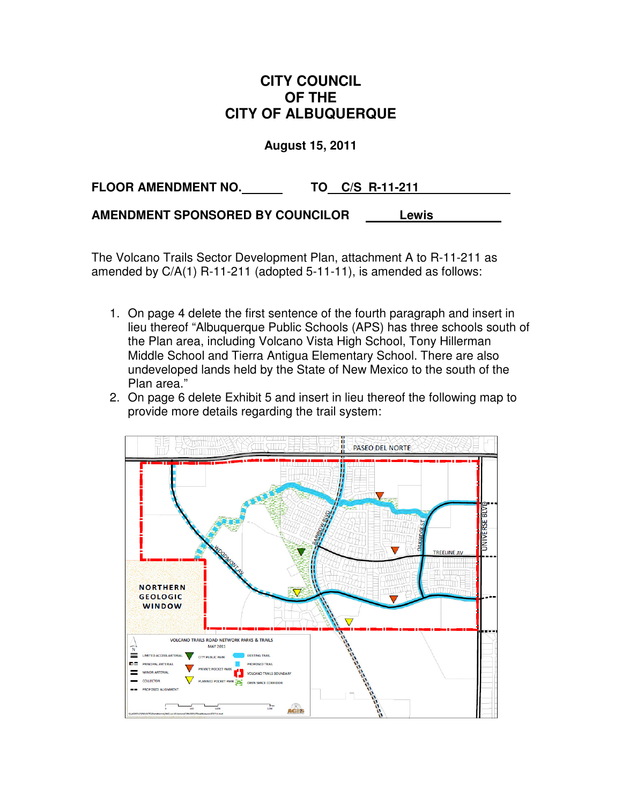## **CITY COUNCIL OF THE CITY OF ALBUQUERQUE**

**August 15, 2011** 

**FLOOR AMENDMENT NO. TO C/S R-11-211 .**

**AMENDMENT SPONSORED BY COUNCILOR Lewis .**

The Volcano Trails Sector Development Plan, attachment A to R-11-211 as amended by C/A(1) R-11-211 (adopted 5-11-11), is amended as follows:

- 1. On page 4 delete the first sentence of the fourth paragraph and insert in lieu thereof "Albuquerque Public Schools (APS) has three schools south of the Plan area, including Volcano Vista High School, Tony Hillerman Middle School and Tierra Antigua Elementary School. There are also undeveloped lands held by the State of New Mexico to the south of the Plan area."
- 2. On page 6 delete Exhibit 5 and insert in lieu thereof the following map to provide more details regarding the trail system:

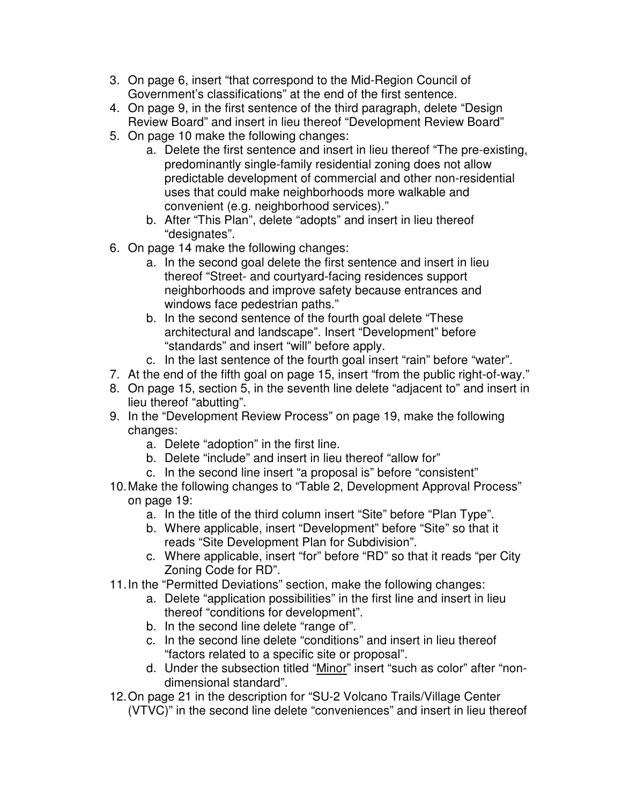- 3. On page 6, insert "that correspond to the Mid-Region Council of Government's classifications" at the end of the first sentence.
- 4. On page 9, in the first sentence of the third paragraph, delete "Design Review Board" and insert in lieu thereof "Development Review Board"
- 5. On page 10 make the following changes:
	- a. Delete the first sentence and insert in lieu thereof "The pre-existing, predominantly single-family residential zoning does not allow predictable development of commercial and other non-residential uses that could make neighborhoods more walkable and convenient (e.g. neighborhood services)."
	- b. After "This Plan", delete "adopts" and insert in lieu thereof "designates".
- 6. On page 14 make the following changes:
	- a. In the second goal delete the first sentence and insert in lieu thereof "Street- and courtyard-facing residences support neighborhoods and improve safety because entrances and windows face pedestrian paths."
	- b. In the second sentence of the fourth goal delete "These architectural and landscape". Insert "Development" before "standards" and insert "will" before apply.
	- c. In the last sentence of the fourth goal insert "rain" before "water".
- 7. At the end of the fifth goal on page 15, insert "from the public right-of-way."
- 8. On page 15, section 5, in the seventh line delete "adjacent to" and insert in lieu thereof "abutting".
- 9. In the "Development Review Process" on page 19, make the following changes:
	- a. Delete "adoption" in the first line.
	- b. Delete "include" and insert in lieu thereof "allow for"
	- c. In the second line insert "a proposal is" before "consistent"
- 10. Make the following changes to "Table 2, Development Approval Process" on page 19:
	- a. In the title of the third column insert "Site" before "Plan Type".
	- b. Where applicable, insert "Development" before "Site" so that it reads "Site Development Plan for Subdivision".
	- c. Where applicable, insert "for" before "RD" so that it reads "per City Zoning Code for RD".
- 11. In the "Permitted Deviations" section, make the following changes:
	- a. Delete "application possibilities" in the first line and insert in lieu thereof "conditions for development".
	- b. In the second line delete "range of".
	- c. In the second line delete "conditions" and insert in lieu thereof "factors related to a specific site or proposal".
	- d. Under the subsection titled "Minor" insert "such as color" after "nondimensional standard".
- 12. On page 21 in the description for "SU-2 Volcano Trails/Village Center (VTVC)" in the second line delete "conveniences" and insert in lieu thereof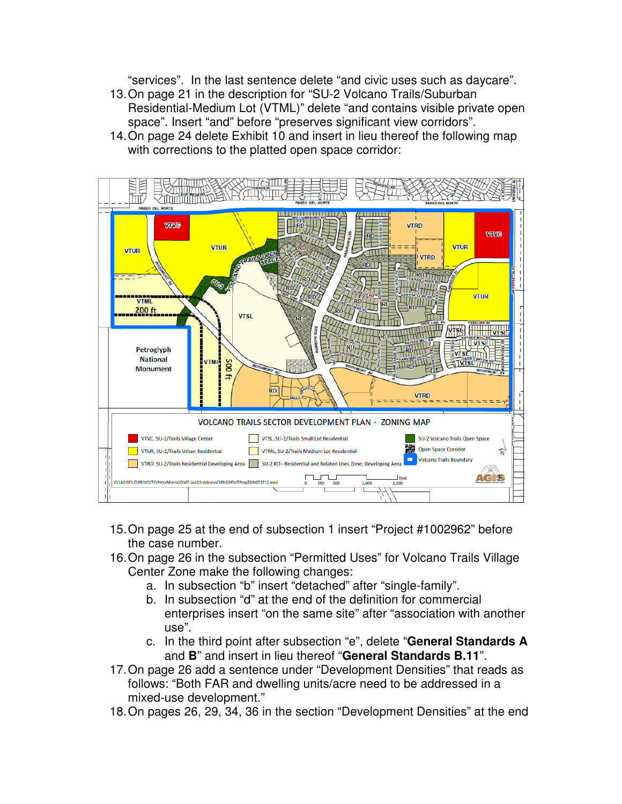"services". In the last sentence delete "and civic uses such as daycare".

- 13. On page 21 in the description for "SU-2 Volcano Trails/Suburban Residential-Medium Lot (VTML)" delete "and contains visible private open space". Insert "and" before "preserves significant view corridors".
- 14. On page 24 delete Exhibit 10 and insert in lieu thereof the following map with corrections to the platted open space corridor:



- 15. On page 25 at the end of subsection 1 insert "Project #1002962" before the case number.
- 16. On page 26 in the subsection "Permitted Uses" for Volcano Trails Village Center Zone make the following changes:
	- a. In subsection "b" insert "detached" after "single-family".
	- b. In subsection "d" at the end of the definition for commercial enterprises insert "on the same site" after "association with another use".
	- c. In the third point after subsection "e", delete "**General Standards A**  and **B**" and insert in lieu thereof "**General Standards B.11**".
- 17. On page 26 add a sentence under "Development Densities" that reads as follows: "Both FAR and dwelling units/acre need to be addressed in a mixed-use development."
- 18. On pages 26, 29, 34, 36 in the section "Development Densities" at the end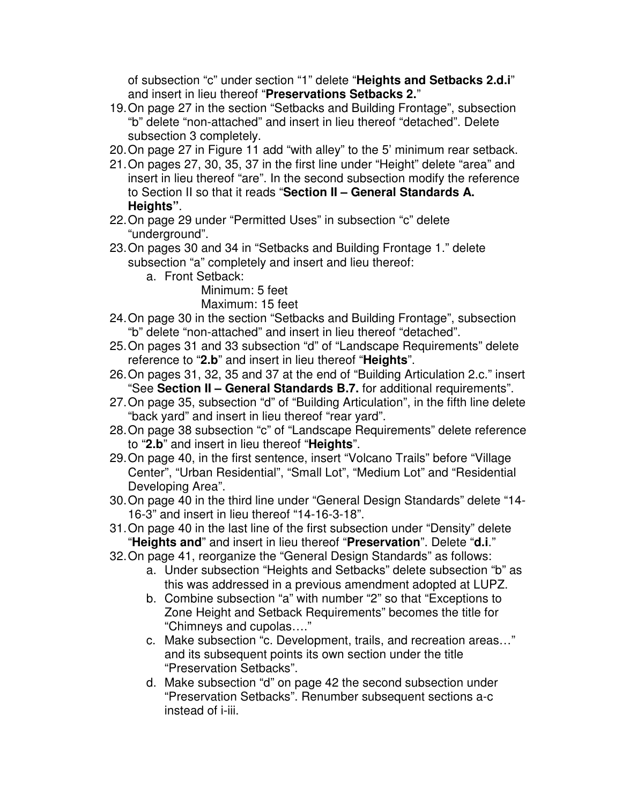of subsection "c" under section "1" delete "**Heights and Setbacks 2.d.i**" and insert in lieu thereof "**Preservations Setbacks 2.**"

- 19. On page 27 in the section "Setbacks and Building Frontage", subsection "b" delete "non-attached" and insert in lieu thereof "detached". Delete subsection 3 completely.
- 20. On page 27 in Figure 11 add "with alley" to the 5' minimum rear setback.
- 21. On pages 27, 30, 35, 37 in the first line under "Height" delete "area" and insert in lieu thereof "are". In the second subsection modify the reference to Section II so that it reads "**Section II – General Standards A. Heights"**.
- 22. On page 29 under "Permitted Uses" in subsection "c" delete "underground".
- 23. On pages 30 and 34 in "Setbacks and Building Frontage 1." delete subsection "a" completely and insert and lieu thereof:
	- a. Front Setback:

Minimum: 5 feet Maximum: 15 feet

- 24. On page 30 in the section "Setbacks and Building Frontage", subsection "b" delete "non-attached" and insert in lieu thereof "detached".
- 25. On pages 31 and 33 subsection "d" of "Landscape Requirements" delete reference to "**2.b**" and insert in lieu thereof "**Heights**".
- 26. On pages 31, 32, 35 and 37 at the end of "Building Articulation 2.c." insert "See **Section II – General Standards B.7.** for additional requirements".
- 27. On page 35, subsection "d" of "Building Articulation", in the fifth line delete "back yard" and insert in lieu thereof "rear yard".
- 28. On page 38 subsection "c" of "Landscape Requirements" delete reference to "**2.b**" and insert in lieu thereof "**Heights**".
- 29. On page 40, in the first sentence, insert "Volcano Trails" before "Village Center", "Urban Residential", "Small Lot", "Medium Lot" and "Residential Developing Area".
- 30. On page 40 in the third line under "General Design Standards" delete "14- 16-3" and insert in lieu thereof "14-16-3-18".
- 31. On page 40 in the last line of the first subsection under "Density" delete "**Heights and**" and insert in lieu thereof "**Preservation**". Delete "**d.i**."
- 32. On page 41, reorganize the "General Design Standards" as follows:
	- a. Under subsection "Heights and Setbacks" delete subsection "b" as this was addressed in a previous amendment adopted at LUPZ.
	- b. Combine subsection "a" with number "2" so that "Exceptions to Zone Height and Setback Requirements" becomes the title for "Chimneys and cupolas…."
	- c. Make subsection "c. Development, trails, and recreation areas…" and its subsequent points its own section under the title "Preservation Setbacks".
	- d. Make subsection "d" on page 42 the second subsection under "Preservation Setbacks". Renumber subsequent sections a-c instead of i-iii.